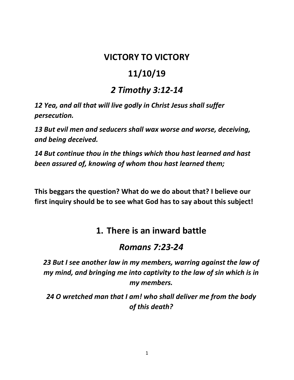## **VICTORY TO VICTORY**

# **11/10/19**

## *2 Timothy 3:12-14*

*12 Yea, and all that will live godly in Christ Jesus shall suffer persecution.*

*13 But evil men and seducers shall wax worse and worse, deceiving, and being deceived.*

*14 But continue thou in the things which thou hast learned and hast been assured of, knowing of whom thou hast learned them;*

**This beggars the question? What do we do about that? I believe our first inquiry should be to see what God has to say about this subject!**

# **1. There is an inward battle**

## *Romans 7:23-24*

*23 But I see another law in my members, warring against the law of my mind, and bringing me into captivity to the law of sin which is in my members.*

*24 O wretched man that I am! who shall deliver me from the body of this death?*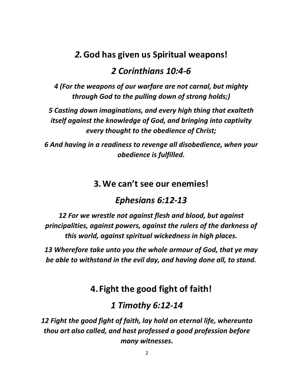## *2.***God has given us Spiritual weapons!**

#### *2 Corinthians 10:4-6*

*4 (For the weapons of our warfare are not carnal, but mighty through God to the pulling down of strong holds;)*

*5 Casting down imaginations, and every high thing that exalteth itself against the knowledge of God, and bringing into captivity every thought to the obedience of Christ;*

*6 And having in a readiness to revenge all disobedience, when your obedience is fulfilled.*

#### **3.We can't see our enemies!**

## *Ephesians 6:12-13*

*12 For we wrestle not against flesh and blood, but against principalities, against powers, against the rulers of the darkness of this world, against spiritual wickedness in high places.*

*13 Wherefore take unto you the whole armour of God, that ye may be able to withstand in the evil day, and having done all, to stand.*

## **4. Fight the good fight of faith!**

## *1 Timothy 6:12-14*

*12 Fight the good fight of faith, lay hold on eternal life, whereunto thou art also called, and hast professed a good profession before many witnesses.*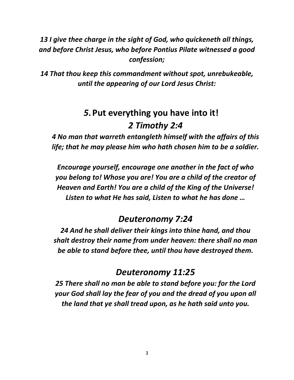#### *13 I give thee charge in the sight of God, who quickeneth all things, and before Christ Jesus, who before Pontius Pilate witnessed a good confession;*

*14 That thou keep this commandment without spot, unrebukeable, until the appearing of our Lord Jesus Christ:*

# *5.***Put everything you have into it!** *2 Timothy 2:4*

*4 No man that warreth entangleth himself with the affairs of this life; that he may please him who hath chosen him to be a soldier.*

*Encourage yourself, encourage one another in the fact of who you belong to! Whose you are! You are a child of the creator of Heaven and Earth! You are a child of the King of the Universe! Listen to what He has said, Listen to what he has done …*

## *Deuteronomy 7:24*

*24 And he shall deliver their kings into thine hand, and thou shalt destroy their name from under heaven: there shall no man be able to stand before thee, until thou have destroyed them.*

#### *Deuteronomy 11:25*

*25 There shall no man be able to stand before you: for the Lord your God shall lay the fear of you and the dread of you upon all the land that ye shall tread upon, as he hath said unto you.*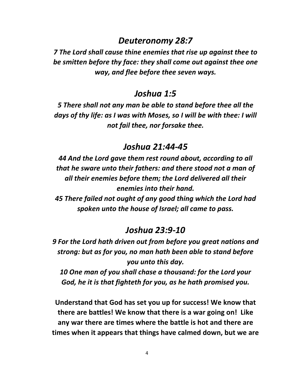#### *Deuteronomy 28:7*

*7 The Lord shall cause thine enemies that rise up against thee to be smitten before thy face: they shall come out against thee one way, and flee before thee seven ways.*

#### *Joshua 1:5*

*5 There shall not any man be able to stand before thee all the days of thy life: as I was with Moses, so I will be with thee: I will not fail thee, nor forsake thee.*

#### *Joshua 21:44-45*

*44 And the Lord gave them rest round about, according to all that he sware unto their fathers: and there stood not a man of all their enemies before them; the Lord delivered all their enemies into their hand.*

*45 There failed not ought of any good thing which the Lord had spoken unto the house of Israel; all came to pass.*

#### *Joshua 23:9-10*

*9 For the Lord hath driven out from before you great nations and strong: but as for you, no man hath been able to stand before you unto this day.*

*10 One man of you shall chase a thousand: for the Lord your God, he it is that fighteth for you, as he hath promised you.*

**Understand that God has set you up for success! We know that there are battles! We know that there is a war going on! Like any war there are times where the battle is hot and there are times when it appears that things have calmed down, but we are**